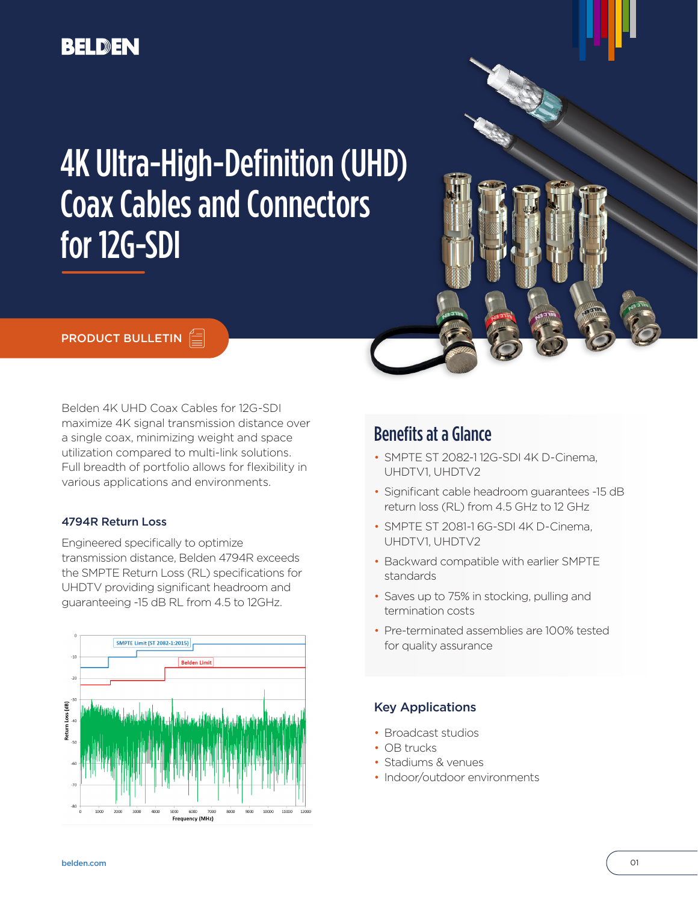# **BELDEN**

# 4K Ultra-High-Definition (UHD) Coax Cables and Connectors for 12G-SDI

## **PRODUCT BULLETIN**

Belden 4K UHD Coax Cables for 12G-SDI maximize 4K signal transmission distance over a single coax, minimizing weight and space utilization compared to multi-link solutions. Full breadth of portfolio allows for flexibility in various applications and environments.

#### 4794R Return Loss

Engineered specifically to optimize transmission distance, Belden 4794R exceeds the SMPTE Return Loss (RL) specifications for UHDTV providing significant headroom and guaranteeing -15 dB RL from 4.5 to 12GHz.



# Benefits at a Glance

- SMPTE ST 2082-1 12G-SDI 4K D-Cinema, UHDTV1, UHDTV2
- Significant cable headroom guarantees -15 dB return loss (RL) from 4.5 GHz to 12 GHz
- SMPTE ST 2081-1 6G-SDI 4K D-Cinema, UHDTV1, UHDTV2
- Backward compatible with earlier SMPTE standards
- Saves up to 75% in stocking, pulling and termination costs
- Pre-terminated assemblies are 100% tested for quality assurance

## Key Applications

- Broadcast studios
- OB trucks
- Stadiums & venues
- Indoor/outdoor environments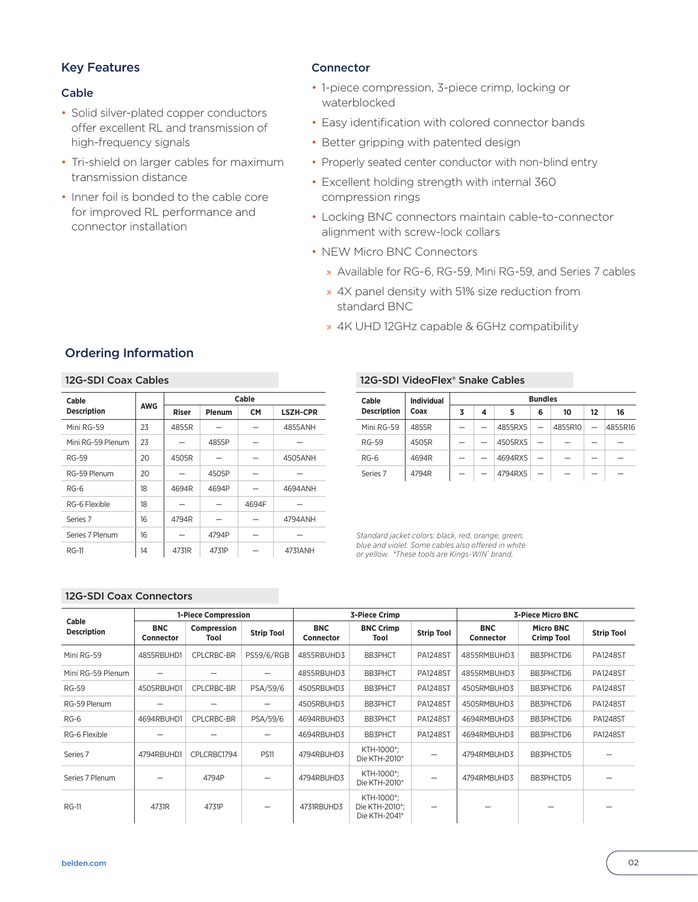## Key Features

#### Cable

- Solid silver-plated copper conductors offer excellent RL and transmission of high-frequency signals
- Tri-shield on larger cables for maximum transmission distance
- Inner foil is bonded to the cable core for improved RL performance and connector installation

#### **Connector**

- 1-piece compression, 3-piece crimp, locking or waterblocked
- Easy identification with colored connector bands
- Better gripping with patented design
- Properly seated center conductor with non-blind entry
- Excellent holding strength with internal 360 compression rings
- Locking BNC connectors maintain cable-to-connector alignment with screw-lock collars
- NEW Micro BNC Connectors
	- » Available for RG-6, RG-59, Mini RG-59, and Series 7 cables
	- » 4X panel density with 51% size reduction from standard BNC
	- » 4K UHD 12GHz capable & 6GHz compatibility

# Ordering Information

#### 12G-SDI Coax Cables

| Cable               |            | Cable        |        |           |                 |  |  |  |
|---------------------|------------|--------------|--------|-----------|-----------------|--|--|--|
| <b>Description</b>  | <b>AWG</b> | <b>Riser</b> | Plenum | <b>CM</b> | <b>LSZH-CPR</b> |  |  |  |
| Mini RG-59          | 23         | 4855R        |        |           | 4855ANH         |  |  |  |
| Mini RG-59 Plenum   | 23         |              | 4855P  |           |                 |  |  |  |
| <b>RG-59</b>        | 20         | 4505R        |        |           | 4505ANH         |  |  |  |
| RG-59 Plenum        | 20         |              | 4505P  |           |                 |  |  |  |
| $RG-6$              | 18         | 4694R        | 4694P  |           | 4694ANH         |  |  |  |
| RG-6 Flexible       | 18         |              |        | 4694F     |                 |  |  |  |
| Series <sub>7</sub> | 16         | 4794R        |        |           | 4794ANH         |  |  |  |
| Series 7 Plenum     | 16         |              | 4794P  |           |                 |  |  |  |
| RG-11               | 14         | 4731R        | 4731P  |           | 4731ANH         |  |  |  |

#### 12G-SDI VideoFlex® Snake Cables

| Cable               | <b>Individual</b> | <b>Bundles</b> |   |         |   |         |    |         |  |  |
|---------------------|-------------------|----------------|---|---------|---|---------|----|---------|--|--|
| <b>Description</b>  | Coax              | 3              | 4 | 5       | 6 | 10      | 12 | 16      |  |  |
| Mini RG-59          | 4855R             |                |   | 4855RX5 |   | 4855R10 |    | 4855R16 |  |  |
| <b>RG-59</b>        | 4505R             |                |   | 4505RX5 |   |         |    |         |  |  |
| $RG-6$              | 4694R             |                |   | 4694RX5 |   |         |    |         |  |  |
| Series <sub>7</sub> | 4794R             |                |   | 4794RX5 |   |         |    |         |  |  |

*Standard jacket colors: black, red, orange, green, blue and violet. Some cables also offered in white or yellow. \*These tools are Kings-WIN® brand.*

#### 12G-SDI Coax Connectors

| Cable<br><b>Description</b> | <b>1-Piece Compression</b> |                     |                   |                                | <b>3-Piece Crimp</b>                          |                          | <b>3-Piece Micro BNC</b> |                                       |                   |  |
|-----------------------------|----------------------------|---------------------|-------------------|--------------------------------|-----------------------------------------------|--------------------------|--------------------------|---------------------------------------|-------------------|--|
|                             | <b>BNC</b><br>Connector    | Compression<br>Tool | <b>Strip Tool</b> | <b>BNC</b><br><b>Connector</b> | <b>BNC Crimp</b><br>Tool                      | <b>Strip Tool</b>        | <b>BNC</b><br>Connector  | <b>Micro BNC</b><br><b>Crimp Tool</b> | <b>Strip Tool</b> |  |
| Mini RG-59                  | 4855RBUHD1                 | CPLCRBC-BR          | <b>PS59/6/RGB</b> | 4855RBUHD3                     | <b>BB3PHCT</b>                                | <b>PA1248ST</b>          | 4855RMBUHD3              | BB3PHCTD6                             | <b>PA1248ST</b>   |  |
| Mini RG-59 Plenum           |                            |                     |                   | 4855RBUHD3                     | <b>BB3PHCT</b>                                | <b>PA1248ST</b>          | 4855RMBUHD3              | BB3PHCTD6                             | <b>PA1248ST</b>   |  |
| <b>RG-59</b>                | 4505RBUHD1                 | <b>CPLCRBC-BR</b>   | PSA/59/6          | 4505RBUHD3                     | <b>BB3PHCT</b>                                | <b>PA1248ST</b>          | 4505RMBUHD3              | BB3PHCTD6                             | <b>PA1248ST</b>   |  |
| RG-59 Plenum                |                            |                     |                   | 4505RBUHD3                     | <b>BB3PHCT</b>                                | <b>PA1248ST</b>          | 4505RMBUHD3              | BB3PHCTD6                             | <b>PA1248ST</b>   |  |
| $RG-6$                      | 4694RBUHD1                 | CPLCRBC-BR          | PSA/59/6          | 4694RBUHD3                     | <b>BB3PHCT</b>                                | <b>PA1248ST</b>          | 4694RMBUHD3              | BB3PHCTD6                             | <b>PA1248ST</b>   |  |
| RG-6 Flexible               |                            |                     |                   | 4694RBUHD3                     | <b>BB3PHCT</b>                                | <b>PA1248ST</b>          | 4694RMBUHD3              | BB3PHCTD6                             | <b>PA1248ST</b>   |  |
| Series <sub>7</sub>         | 4794RBUHD1                 | CPLCRBC1794         | <b>PS11</b>       | 4794RBUHD3                     | KTH-1000*;<br>Die KTH-2010*                   | $\overline{\phantom{m}}$ | 4794RMBUHD3              | BB3PHCTD5                             |                   |  |
| Series 7 Plenum             |                            | 4794P               |                   | 4794RBUHD3                     | KTH-1000*:<br>Die KTH-2010*                   | —                        | 4794RMBUHD3              | BB3PHCTD5                             |                   |  |
| <b>RG-11</b>                | 4731R                      | 4731P               |                   | 4731RBUHD3                     | KTH-1000*:<br>Die KTH-2010*:<br>Die KTH-2041* |                          |                          |                                       |                   |  |